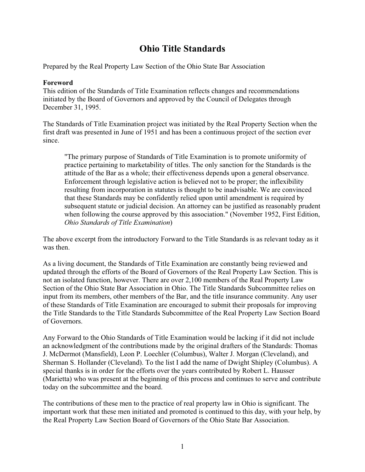# **Ohio Title Standards**

Prepared by the Real Property Law Section of the Ohio State Bar Association

## **Foreword**

This edition of the Standards of Title Examination reflects changes and recommendations initiated by the Board of Governors and approved by the Council of Delegates through December 31, 1995.

The Standards of Title Examination project was initiated by the Real Property Section when the first draft was presented in June of 1951 and has been a continuous project of the section ever since.

"The primary purpose of Standards of Title Examination is to promote uniformity of practice pertaining to marketability of titles. The only sanction for the Standards is the attitude of the Bar as a whole; their effectiveness depends upon a general observance. Enforcement through legislative action is believed not to be proper; the inflexibility resulting from incorporation in statutes is thought to be inadvisable. We are convinced that these Standards may be confidently relied upon until amendment is required by subsequent statute or judicial decision. An attorney can be justified as reasonably prudent when following the course approved by this association." (November 1952, First Edition, *Ohio Standards of Title Examination*)

The above excerpt from the introductory Forward to the Title Standards is as relevant today as it was then.

As a living document, the Standards of Title Examination are constantly being reviewed and updated through the efforts of the Board of Governors of the Real Property Law Section. This is not an isolated function, however. There are over 2,100 members of the Real Property Law Section of the Ohio State Bar Association in Ohio. The Title Standards Subcommittee relies on input from its members, other members of the Bar, and the title insurance community. Any user of these Standards of Title Examination are encouraged to submit their proposals for improving the Title Standards to the Title Standards Subcommittee of the Real Property Law Section Board of Governors.

Any Forward to the Ohio Standards of Title Examination would be lacking if it did not include an acknowledgment of the contributions made by the original drafters of the Standards: Thomas J. McDermot (Mansfield), Leon P. Loechler (Columbus), Walter J. Morgan (Cleveland), and Sherman S. Hollander (Cleveland). To the list I add the name of Dwight Shipley (Columbus). A special thanks is in order for the efforts over the years contributed by Robert L. Hausser (Marietta) who was present at the beginning of this process and continues to serve and contribute today on the subcommittee and the board.

The contributions of these men to the practice of real property law in Ohio is significant. The important work that these men initiated and promoted is continued to this day, with your help, by the Real Property Law Section Board of Governors of the Ohio State Bar Association.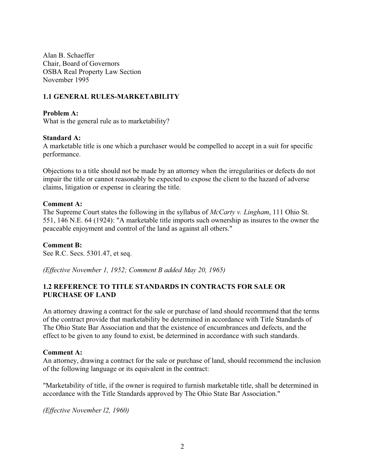Alan B. Schaeffer Chair, Board of Governors OSBA Real Property Law Section November 1995

## **1.1 GENERAL RULES-MARKETABILITY**

#### **Problem A:**

What is the general rule as to marketability?

#### **Standard A:**

A marketable title is one which a purchaser would be compelled to accept in a suit for specific performance.

Objections to a title should not be made by an attorney when the irregularities or defects do not impair the title or cannot reasonably be expected to expose the client to the hazard of adverse claims, litigation or expense in clearing the title.

#### **Comment A:**

The Supreme Court states the following in the syllabus of *McCarty v. Lingham*, 111 Ohio St. 551, 146 N.E. 64 (1924): "A marketable title imports such ownership as insures to the owner the peaceable enjoyment and control of the land as against all others."

#### **Comment B:**

See R.C. Secs. 5301.47, et seq.

*(Effective November 1, 1952; Comment B added May 20, 1965)*

## **1.2 REFERENCE TO TITLE STANDARDS IN CONTRACTS FOR SALE OR PURCHASE OF LAND**

An attorney drawing a contract for the sale or purchase of land should recommend that the terms of the contract provide that marketability be determined in accordance with Title Standards of The Ohio State Bar Association and that the existence of encumbrances and defects, and the effect to be given to any found to exist, be determined in accordance with such standards.

#### **Comment A:**

An attorney, drawing a contract for the sale or purchase of land, should recommend the inclusion of the following language or its equivalent in the contract:

"Marketability of title, if the owner is required to furnish marketable title, shall be determined in accordance with the Title Standards approved by The Ohio State Bar Association."

*(Effective November l2, 1960)*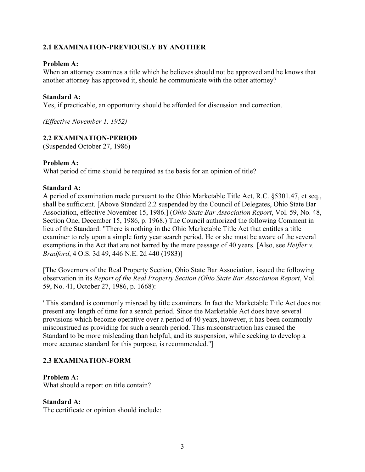## **2.1 EXAMINATION-PREVIOUSLY BY ANOTHER**

## **Problem A:**

When an attorney examines a title which he believes should not be approved and he knows that another attorney has approved it, should he communicate with the other attorney?

#### **Standard A:**

Yes, if practicable, an opportunity should be afforded for discussion and correction.

*(Effective November 1, 1952)*

## **2.2 EXAMINATION-PERIOD**

(Suspended October 27, 1986)

#### **Problem A:**

What period of time should be required as the basis for an opinion of title?

#### **Standard A:**

A period of examination made pursuant to the Ohio Marketable Title Act, R.C. §5301.47, et seq., shall be sufficient. [Above Standard 2.2 suspended by the Council of Delegates, Ohio State Bar Association, effective November 15, 1986.] (*Ohio State Bar Association Report*, Vol. 59, No. 48, Section One, December 15, 1986, p. 1968.) The Council authorized the following Comment in lieu of the Standard: "There is nothing in the Ohio Marketable Title Act that entitles a title examiner to rely upon a simple forty year search period. He or she must be aware of the several exemptions in the Act that are not barred by the mere passage of 40 years. [Also, see *Heifler v. Bradford*, 4 O.S. 3d 49, 446 N.E. 2d 440 (1983)]

[The Governors of the Real Property Section, Ohio State Bar Association, issued the following observation in its *Report of the Real Property Section (Ohio State Bar Association Report*, Vol. 59, No. 41, October 27, 1986, p. 1668):

"This standard is commonly misread by title examiners. In fact the Marketable Title Act does not present any length of time for a search period. Since the Marketable Act does have several provisions which become operative over a period of 40 years, however, it has been commonly misconstrued as providing for such a search period. This misconstruction has caused the Standard to be more misleading than helpful, and its suspension, while seeking to develop a more accurate standard for this purpose, is recommended."]

## **2.3 EXAMINATION-FORM**

#### **Problem A:**

What should a report on title contain?

#### **Standard A:**

The certificate or opinion should include: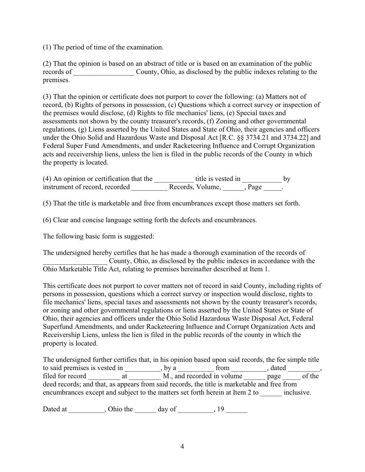(1) The period of time of the examination.

(2) That the opinion is based on an abstract of title or is based on an examination of the public records of County, Ohio, as disclosed by the public indexes relating to the premises.

(3) That the opinion or certificate does not purport to cover the following: (a) Matters not of record, (b) Rights of persons in possession, (c) Questions which a correct survey or inspection of the premises would disclose, (d) Rights to file mechanics' liens, (e) Special taxes and assessments not shown by the county treasurer's records, (f) Zoning and other governmental regulations, (g) Liens asserted by the United States and State of Ohio, their agencies and officers under the Ohio Solid and Hazardous Waste and Disposal Act [R.C. §§ 3734.21 and 3734.22] and Federal Super Fund Amendments, and under Racketeering Influence and Corrupt Organization acts and receivership liens, unless the lien is filed in the public records of the County in which the property is located.

 $(4)$  An opinion or certification that the  $\frac{1}{2}$  title is vested in  $\frac{1}{2}$  by instrument of record, recorded \_\_\_\_\_\_\_\_\_\_\_\_\_\_\_ Records, Volume, \_\_\_\_\_\_\_, Page \_\_\_\_\_.

(5) That the title is marketable and free from encumbrances except those matters set forth.

(6) Clear and concise language setting forth the defects and encumbrances.

The following basic form is suggested:

The undersigned hereby certifies that he has made a thorough examination of the records of County, Ohio, as disclosed by the public indexes in accordance with the Ohio Marketable Title Act, relating to premises hereinafter described at Item 1.

This certificate does not purport to cover matters not of record in said County, including rights of persons in possession, questions which a correct survey or inspection would disclose, rights to file mechanics' liens, special taxes and assessments not shown by the county treasurer's records, or zoning and other governmental regulations or liens asserted by the United States or State of Ohio, their agencies and officers under the Ohio Solid Hazardous Waste Disposal Act, Federal Superfund Amendments, and under Racketeering Influence and Corrupt Organization Acts and Receivership Liens, unless the lien is filed in the public records of the county in which the property is located.

The undersigned further certifies that, in his opinion based upon said records, the fee simple title to said premises is vested in \_\_\_\_\_\_\_\_\_, by a \_\_\_\_\_\_\_\_\_\_\_\_ from \_\_\_\_\_\_\_\_\_, dated \_\_\_\_\_\_\_\_, filed for record \_\_\_\_\_\_\_\_\_ at \_\_\_\_\_\_\_\_\_ M., and recorded in volume \_\_\_\_\_\_\_ page \_\_\_\_\_\_ of the deed records; and that, as appears from said records, the title is marketable and free from encumbrances except and subject to the matters set forth herein at Item 2 to \_\_\_\_\_\_ inclusive.

Dated at \_\_\_\_\_\_\_\_\_, Ohio the \_\_\_\_\_\_ day of \_\_\_\_\_\_\_, 19 \_\_\_\_\_\_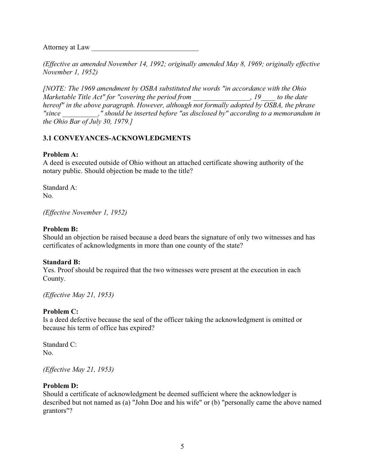Attorney at Law

*(Effective as amended November 14, 1992; originally amended May 8, 1969; originally effective November 1, 1952)*

*[NOTE: The 1969 amendment by OSBA substituted the words "in accordance with the Ohio Marketable Title Act" for "covering the period from \_\_\_\_\_\_\_\_\_\_\_\_\_\_\_\_, 19\_\_\_\_ to the date hereof" in the above paragraph. However, although not formally adopted by OSBA, the phrase "since \_\_\_\_\_\_\_\_\_\_," should be inserted before "as disclosed by" according to a memorandum in the Ohio Bar of July 30, 1979.]*

## **3.1 CONVEYANCES-ACKNOWLEDGMENTS**

## **Problem A:**

A deed is executed outside of Ohio without an attached certificate showing authority of the notary public. Should objection be made to the title?

Standard A: No.

*(Effective November 1, 1952)*

#### **Problem B:**

Should an objection be raised because a deed bears the signature of only two witnesses and has certificates of acknowledgments in more than one county of the state?

#### **Standard B:**

Yes. Proof should be required that the two witnesses were present at the execution in each County.

*(Effective May 21, 1953)*

## **Problem C:**

Is a deed defective because the seal of the officer taking the acknowledgment is omitted or because his term of office has expired?

Standard C: No.

*(Effective May 21, 1953)*

#### **Problem D:**

Should a certificate of acknowledgment be deemed sufficient where the acknowledger is described but not named as (a) "John Doe and his wife" or (b) "personally came the above named grantors"?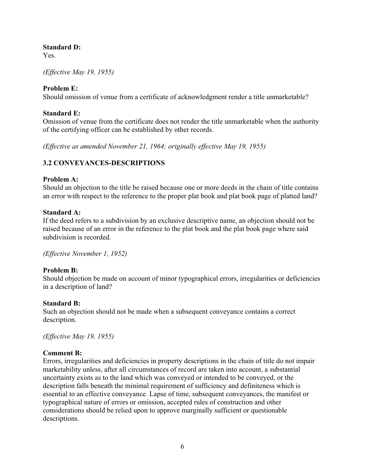## **Standard D:**

Yes.

*(Effective May 19, 1955)*

## **Problem E:**

Should omission of venue from a certificate of acknowledgment render a title unmarketable?

## **Standard E:**

Omission of venue from the certificate does not render the title unmarketable when the authority of the certifying officer can be established by other records.

*(Effective as amended November 21, 1964; originally effective May 19, 1955)*

# **3.2 CONVEYANCES-DESCRIPTIONS**

#### **Problem A:**

Should an objection to the title be raised because one or more deeds in the chain of title contains an error with respect to the reference to the proper plat book and plat book page of platted land?

## **Standard A:**

If the deed refers to a subdivision by an exclusive descriptive name, an objection should not be raised because of an error in the reference to the plat book and the plat book page where said subdivision is recorded.

*(Effective November 1, 1952)*

## **Problem B:**

Should objection be made on account of minor typographical errors, irregularities or deficiencies in a description of land?

#### **Standard B:**

Such an objection should not be made when a subsequent conveyance contains a correct description.

*(Effective May 19, 1955)*

## **Comment B:**

Errors, irregularities and deficiencies in property descriptions in the chain of title do not impair marketability unless, after all circumstances of record are taken into account, a substantial uncertainty exists as to the land which was conveyed or intended to be conveyed, or the description falls beneath the minimal requirement of sufficiency and definiteness which is essential to an effective conveyance. Lapse of time, subsequent conveyances, the manifest or typographical nature of errors or omission, accepted rules of construction and other considerations should be relied upon to approve marginally sufficient or questionable descriptions.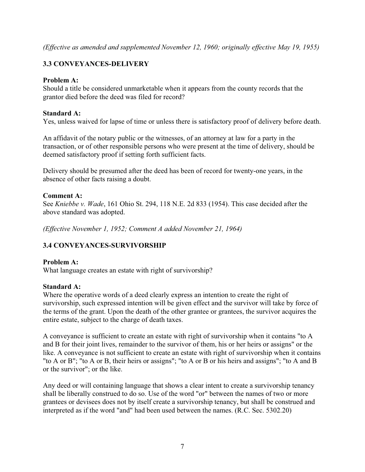*(Effective as amended and supplemented November 12, 1960; originally effective May 19, 1955)*

# **3.3 CONVEYANCES-DELIVERY**

## **Problem A:**

Should a title be considered unmarketable when it appears from the county records that the grantor died before the deed was filed for record?

## **Standard A:**

Yes, unless waived for lapse of time or unless there is satisfactory proof of delivery before death.

An affidavit of the notary public or the witnesses, of an attorney at law for a party in the transaction, or of other responsible persons who were present at the time of delivery, should be deemed satisfactory proof if setting forth sufficient facts.

Delivery should be presumed after the deed has been of record for twenty-one years, in the absence of other facts raising a doubt.

## **Comment A:**

See *Kniebbe v. Wade*, 161 Ohio St. 294, 118 N.E. 2d 833 (1954). This case decided after the above standard was adopted.

*(Effective November 1, 1952; Comment A added November 21, 1964)*

# **3.4 CONVEYANCES-SURVIVORSHIP**

## **Problem A:**

What language creates an estate with right of survivorship?

#### **Standard A:**

Where the operative words of a deed clearly express an intention to create the right of survivorship, such expressed intention will be given effect and the survivor will take by force of the terms of the grant. Upon the death of the other grantee or grantees, the survivor acquires the entire estate, subject to the charge of death taxes.

A conveyance is sufficient to create an estate with right of survivorship when it contains "to A and B for their joint lives, remainder to the survivor of them, his or her heirs or assigns" or the like. A conveyance is not sufficient to create an estate with right of survivorship when it contains "to A or B"; "to A or B, their heirs or assigns"; "to A or B or his heirs and assigns"; "to A and B or the survivor"; or the like.

Any deed or will containing language that shows a clear intent to create a survivorship tenancy shall be liberally construed to do so. Use of the word "or" between the names of two or more grantees or devisees does not by itself create a survivorship tenancy, but shall be construed and interpreted as if the word "and" had been used between the names. (R.C. Sec. 5302.20)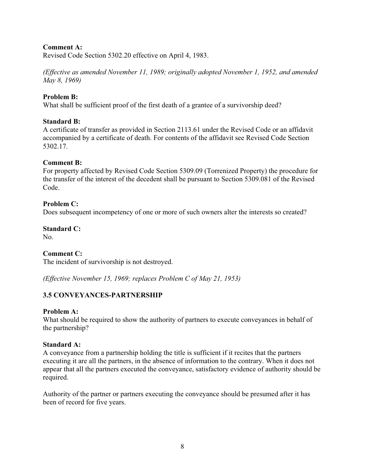## **Comment A:**

Revised Code Section 5302.20 effective on April 4, 1983.

*(Effective as amended November 11, 1989; originally adopted November 1, 1952, and amended May 8, 1969)*

## **Problem B:**

What shall be sufficient proof of the first death of a grantee of a survivorship deed?

#### **Standard B:**

A certificate of transfer as provided in Section 2113.61 under the Revised Code or an affidavit accompanied by a certificate of death. For contents of the affidavit see Revised Code Section 5302.17.

#### **Comment B:**

For property affected by Revised Code Section 5309.09 (Torrenized Property) the procedure for the transfer of the interest of the decedent shall be pursuant to Section 5309.081 of the Revised Code.

#### **Problem C:**

Does subsequent incompetency of one or more of such owners alter the interests so created?

# **Standard C:**

No.

## **Comment C:**

The incident of survivorship is not destroyed.

*(Effective November 15, 1969; replaces Problem C of May 21, 1953)*

## **3.5 CONVEYANCES-PARTNERSHIP**

#### **Problem A:**

What should be required to show the authority of partners to execute conveyances in behalf of the partnership?

#### **Standard A:**

A conveyance from a partnership holding the title is sufficient if it recites that the partners executing it are all the partners, in the absence of information to the contrary. When it does not appear that all the partners executed the conveyance, satisfactory evidence of authority should be required.

Authority of the partner or partners executing the conveyance should be presumed after it has been of record for five years.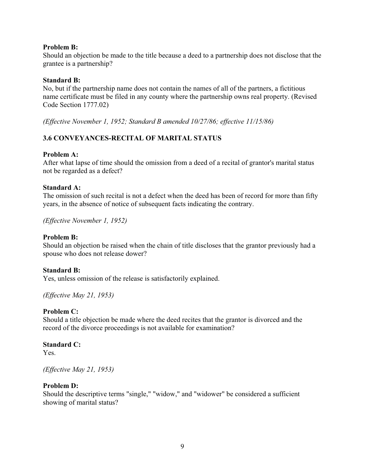#### **Problem B:**

Should an objection be made to the title because a deed to a partnership does not disclose that the grantee is a partnership?

## **Standard B:**

No, but if the partnership name does not contain the names of all of the partners, a fictitious name certificate must be filed in any county where the partnership owns real property. (Revised Code Section 1777.02)

*(Effective November 1, 1952; Standard B amended 10/27/86; effective 11/15/86)*

# **3.6 CONVEYANCES-RECITAL OF MARITAL STATUS**

## **Problem A:**

After what lapse of time should the omission from a deed of a recital of grantor's marital status not be regarded as a defect?

## **Standard A:**

The omission of such recital is not a defect when the deed has been of record for more than fifty years, in the absence of notice of subsequent facts indicating the contrary.

*(Effective November 1, 1952)*

#### **Problem B:**

Should an objection be raised when the chain of title discloses that the grantor previously had a spouse who does not release dower?

#### **Standard B:**

Yes, unless omission of the release is satisfactorily explained.

*(Effective May 21, 1953)*

## **Problem C:**

Should a title objection be made where the deed recites that the grantor is divorced and the record of the divorce proceedings is not available for examination?

#### **Standard C:**

Yes.

*(Effective May 21, 1953)*

#### **Problem D:**

Should the descriptive terms "single," "widow," and "widower" be considered a sufficient showing of marital status?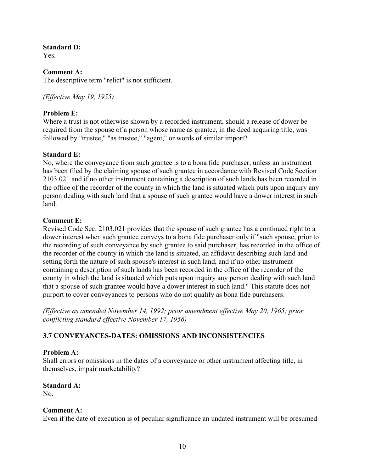#### **Standard D:**

Yes.

## **Comment A:**

The descriptive term "relict" is not sufficient.

*(Effective May 19, 1955)*

## **Problem E:**

Where a trust is not otherwise shown by a recorded instrument, should a release of dower be required from the spouse of a person whose name as grantee, in the deed acquiring title, was followed by "trustee," "as trustee," "agent," or words of similar import?

## **Standard E:**

No, where the conveyance from such grantee is to a bona fide purchaser, unless an instrument has been filed by the claiming spouse of such grantee in accordance with Revised Code Section 2103.021 and if no other instrument containing a description of such lands has been recorded in the office of the recorder of the county in which the land is situated which puts upon inquiry any person dealing with such land that a spouse of such grantee would have a dower interest in such land.

## **Comment E:**

Revised Code Sec. 2103.021 provides that the spouse of such grantee has a continued right to a dower interest when such grantee conveys to a bona fide purchaser only if "such spouse, prior to the recording of such conveyance by such grantee to said purchaser, has recorded in the office of the recorder of the county in which the land is situated, an affidavit describing such land and setting forth the nature of such spouse's interest in such land, and if no other instrument containing a description of such lands has been recorded in the office of the recorder of the county in which the land is situated which puts upon inquiry any person dealing with such land that a spouse of such grantee would have a dower interest in such land." This statute does not purport to cover conveyances to persons who do not qualify as bona fide purchasers.

*(Effective as amended November 14, 1992; prior amendment effective May 20, 1965; prior conflicting standard effective November 17, 1956)*

# **3.7 CONVEYANCES-DATES: OMISSIONS AND INCONSISTENCIES**

## **Problem A:**

Shall errors or omissions in the dates of a conveyance or other instrument affecting title, in themselves, impair marketability?

# **Standard A:**

No.

## **Comment A:**

Even if the date of execution is of peculiar significance an undated instrument will be presumed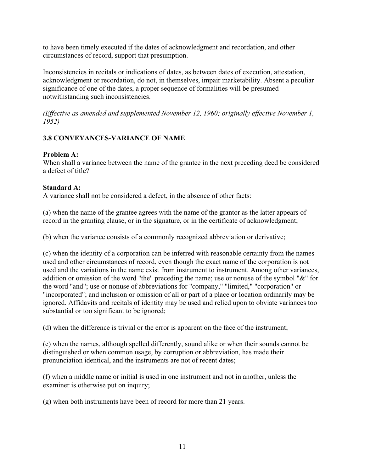to have been timely executed if the dates of acknowledgment and recordation, and other circumstances of record, support that presumption.

Inconsistencies in recitals or indications of dates, as between dates of execution, attestation, acknowledgment or recordation, do not, in themselves, impair marketability. Absent a peculiar significance of one of the dates, a proper sequence of formalities will be presumed notwithstanding such inconsistencies.

*(Effective as amended and supplemented November 12, 1960; originally effective November 1, 1952)*

# **3.8 CONVEYANCES-VARIANCE OF NAME**

## **Problem A:**

When shall a variance between the name of the grantee in the next preceding deed be considered a defect of title?

## **Standard A:**

A variance shall not be considered a defect, in the absence of other facts:

(a) when the name of the grantee agrees with the name of the grantor as the latter appears of record in the granting clause, or in the signature, or in the certificate of acknowledgment;

(b) when the variance consists of a commonly recognized abbreviation or derivative;

(c) when the identity of a corporation can be inferred with reasonable certainty from the names used and other circumstances of record, even though the exact name of the corporation is not used and the variations in the name exist from instrument to instrument. Among other variances, addition or omission of the word "the" preceding the name; use or nonuse of the symbol "&" for the word "and"; use or nonuse of abbreviations for "company," "limited," "corporation" or "incorporated"; and inclusion or omission of all or part of a place or location ordinarily may be ignored. Affidavits and recitals of identity may be used and relied upon to obviate variances too substantial or too significant to be ignored;

(d) when the difference is trivial or the error is apparent on the face of the instrument;

(e) when the names, although spelled differently, sound alike or when their sounds cannot be distinguished or when common usage, by corruption or abbreviation, has made their pronunciation identical, and the instruments are not of recent dates;

(f) when a middle name or initial is used in one instrument and not in another, unless the examiner is otherwise put on inquiry;

(g) when both instruments have been of record for more than 21 years.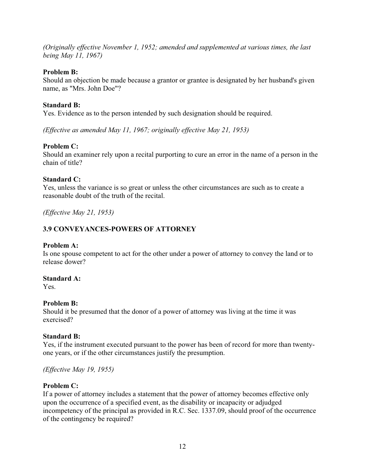*(Originally effective November 1, 1952; amended and supplemented at various times, the last being May 11, 1967)*

## **Problem B:**

Should an objection be made because a grantor or grantee is designated by her husband's given name, as "Mrs. John Doe"?

## **Standard B:**

Yes. Evidence as to the person intended by such designation should be required.

*(Effective as amended May 11, 1967; originally effective May 21, 1953)*

## **Problem C:**

Should an examiner rely upon a recital purporting to cure an error in the name of a person in the chain of title?

#### **Standard C:**

Yes, unless the variance is so great or unless the other circumstances are such as to create a reasonable doubt of the truth of the recital.

*(Effective May 21, 1953)*

# **3.9 CONVEYANCES-POWERS OF ATTORNEY**

#### **Problem A:**

Is one spouse competent to act for the other under a power of attorney to convey the land or to release dower?

#### **Standard A:**

Yes.

## **Problem B:**

Should it be presumed that the donor of a power of attorney was living at the time it was exercised?

#### **Standard B:**

Yes, if the instrument executed pursuant to the power has been of record for more than twentyone years, or if the other circumstances justify the presumption.

*(Effective May 19, 1955)*

#### **Problem C:**

If a power of attorney includes a statement that the power of attorney becomes effective only upon the occurrence of a specified event, as the disability or incapacity or adjudged incompetency of the principal as provided in R.C. Sec. 1337.09, should proof of the occurrence of the contingency be required?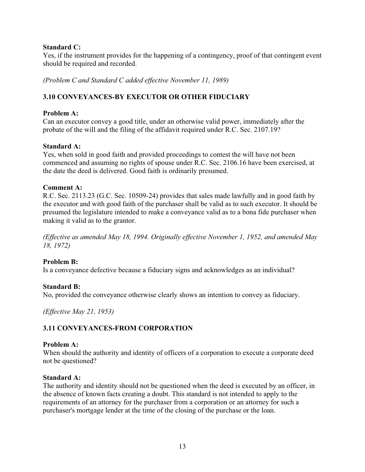## **Standard C:**

Yes, if the instrument provides for the happening of a contingency, proof of that contingent event should be required and recorded.

*(Problem C and Standard C added effective November 11, 1989)*

## **3.10 CONVEYANCES-BY EXECUTOR OR OTHER FIDUCIARY**

## **Problem A:**

Can an executor convey a good title, under an otherwise valid power, immediately after the probate of the will and the filing of the affidavit required under R.C. Sec. 2107.19?

## **Standard A:**

Yes, when sold in good faith and provided proceedings to contest the will have not been commenced and assuming no rights of spouse under R.C. Sec. 2106.16 have been exercised, at the date the deed is delivered. Good faith is ordinarily presumed.

#### **Comment A:**

R.C. Sec. 2113.23 (G.C. Sec. 10509-24) provides that sales made lawfully and in good faith by the executor and with good faith of the purchaser shall be valid as to such executor. It should be presumed the legislature intended to make a conveyance valid as to a bona fide purchaser when making it valid as to the grantor.

*(Effective as amended May 18, 1994. Originally effective November 1, 1952, and amended May 18, 1972)*

#### **Problem B:**

Is a conveyance defective because a fiduciary signs and acknowledges as an individual?

#### **Standard B:**

No, provided the conveyance otherwise clearly shows an intention to convey as fiduciary.

*(Effective May 21, 1953)*

## **3.11 CONVEYANCES-FROM CORPORATION**

#### **Problem A:**

When should the authority and identity of officers of a corporation to execute a corporate deed not be questioned?

#### **Standard A:**

The authority and identity should not be questioned when the deed is executed by an officer, in the absence of known facts creating a doubt. This standard is not intended to apply to the requirements of an attorney for the purchaser from a corporation or an attorney for such a purchaser's mortgage lender at the time of the closing of the purchase or the loan.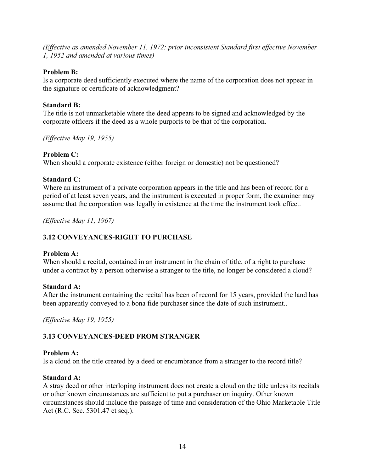*(Effective as amended November 11, 1972; prior inconsistent Standard first effective November 1, 1952 and amended at various times)*

#### **Problem B:**

Is a corporate deed sufficiently executed where the name of the corporation does not appear in the signature or certificate of acknowledgment?

## **Standard B:**

The title is not unmarketable where the deed appears to be signed and acknowledged by the corporate officers if the deed as a whole purports to be that of the corporation.

*(Effective May 19, 1955)*

## **Problem C:**

When should a corporate existence (either foreign or domestic) not be questioned?

## **Standard C:**

Where an instrument of a private corporation appears in the title and has been of record for a period of at least seven years, and the instrument is executed in proper form, the examiner may assume that the corporation was legally in existence at the time the instrument took effect.

*(Effective May 11, 1967)*

# **3.12 CONVEYANCES-RIGHT TO PURCHASE**

#### **Problem A:**

When should a recital, contained in an instrument in the chain of title, of a right to purchase under a contract by a person otherwise a stranger to the title, no longer be considered a cloud?

#### **Standard A:**

After the instrument containing the recital has been of record for 15 years, provided the land has been apparently conveyed to a bona fide purchaser since the date of such instrument..

*(Effective May 19, 1955)* 

## **3.13 CONVEYANCES-DEED FROM STRANGER**

## **Problem A:**

Is a cloud on the title created by a deed or encumbrance from a stranger to the record title?

#### **Standard A:**

A stray deed or other interloping instrument does not create a cloud on the title unless its recitals or other known circumstances are sufficient to put a purchaser on inquiry. Other known circumstances should include the passage of time and consideration of the Ohio Marketable Title Act (R.C. Sec. 5301.47 et seq.).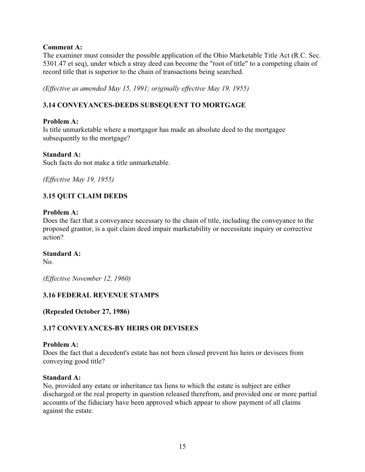## **Comment A:**

The examiner must consider the possible application of the Ohio Marketable Title Act (R.C. Sec. 5301.47 et seq), under which a stray deed can become the "root of title" to a competing chain of record title that is superior to the chain of transactions being searched.

*(Effective as amended May 15, 1991; originally effective May 19, 1955)*

# **3.14 CONVEYANCES-DEEDS SUBSEQUENT TO MORTGAGE**

#### **Problem A:**

Is title unmarketable where a mortgagor has made an absolute deed to the mortgagee subsequently to the mortgage?

#### **Standard A:**

Such facts do not make a title unmarketable.

*(Effective May 19, 1955)* 

## **3.15 QUIT CLAIM DEEDS**

#### **Problem A:**

Does the fact that a conveyance necessary to the chain of title, including the conveyance to the proposed grantor, is a quit claim deed impair marketability or necessitate inquiry or corrective action?

#### **Standard A:**

No.

*(Effective November 12, 1960)*

## **3.16 FEDERAL REVENUE STAMPS**

**(Repealed October 27, 1986)** 

## **3.17 CONVEYANCES-BY HEIRS OR DEVISEES**

#### **Problem A:**

Does the fact that a decedent's estate has not been closed prevent his heirs or devisees from conveying good title?

#### **Standard A:**

No, provided any estate or inheritance tax liens to which the estate is subject are either discharged or the real property in question released therefrom, and provided one or more partial accounts of the fiduciary have been approved which appear to show payment of all claims against the estate.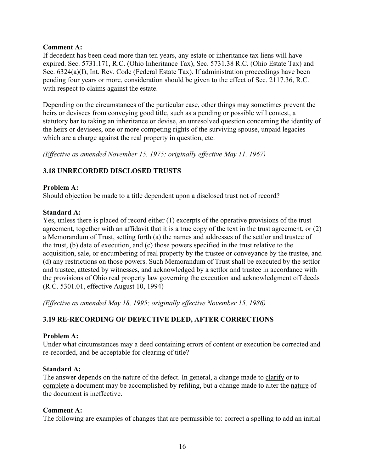## **Comment A:**

If decedent has been dead more than ten years, any estate or inheritance tax liens will have expired. Sec. 5731.171, R.C. (Ohio Inheritance Tax), Sec. 5731.38 R.C. (Ohio Estate Tax) and Sec. 6324(a)(I), Int. Rev. Code (Federal Estate Tax). If administration proceedings have been pending four years or more, consideration should be given to the effect of Sec. 2117.36, R.C. with respect to claims against the estate.

Depending on the circumstances of the particular case, other things may sometimes prevent the heirs or devisees from conveying good title, such as a pending or possible will contest, a statutory bar to taking an inheritance or devise, an unresolved question concerning the identity of the heirs or devisees, one or more competing rights of the surviving spouse, unpaid legacies which are a charge against the real property in question, etc.

*(Effective as amended November 15, 1975; originally effective May 11, 1967)*

## **3.18 UNRECORDED DISCLOSED TRUSTS**

#### **Problem A:**

Should objection be made to a title dependent upon a disclosed trust not of record?

## **Standard A:**

Yes, unless there is placed of record either (1) excerpts of the operative provisions of the trust agreement, together with an affidavit that it is a true copy of the text in the trust agreement, or (2) a Memorandum of Trust, setting forth (a) the names and addresses of the settlor and trustee of the trust, (b) date of execution, and (c) those powers specified in the trust relative to the acquisition, sale, or encumbering of real property by the trustee or conveyance by the trustee, and (d) any restrictions on those powers. Such Memorandum of Trust shall be executed by the settlor and trustee, attested by witnesses, and acknowledged by a settlor and trustee in accordance with the provisions of Ohio real property law governing the execution and acknowledgment off deeds (R.C. 5301.01, effective August 10, 1994)

*(Effective as amended May 18, 1995; originally effective November 15, 1986)*

# **3.19 RE-RECORDING OF DEFECTIVE DEED, AFTER CORRECTIONS**

#### **Problem A:**

Under what circumstances may a deed containing errors of content or execution be corrected and re-recorded, and be acceptable for clearing of title?

#### **Standard A:**

The answer depends on the nature of the defect. In general, a change made to clarify or to complete a document may be accomplished by refiling, but a change made to alter the nature of the document is ineffective.

#### **Comment A:**

The following are examples of changes that are permissible to: correct a spelling to add an initial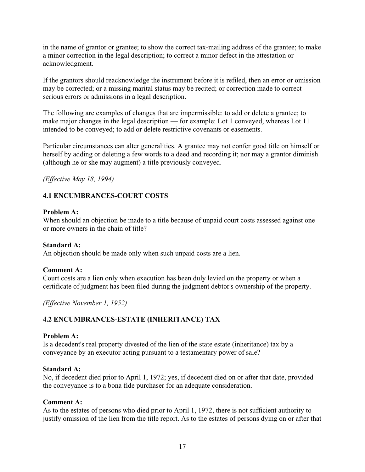in the name of grantor or grantee; to show the correct tax-mailing address of the grantee; to make a minor correction in the legal description; to correct a minor defect in the attestation or acknowledgment.

If the grantors should reacknowledge the instrument before it is refiled, then an error or omission may be corrected; or a missing marital status may be recited; or correction made to correct serious errors or admissions in a legal description.

The following are examples of changes that are impermissible: to add or delete a grantee; to make major changes in the legal description — for example: Lot 1 conveyed, whereas Lot 11 intended to be conveyed; to add or delete restrictive covenants or easements.

Particular circumstances can alter generalities. A grantee may not confer good title on himself or herself by adding or deleting a few words to a deed and recording it; nor may a grantor diminish (although he or she may augment) a title previously conveyed.

*(Effective May 18, 1994)*

## **4.1 ENCUMBRANCES-COURT COSTS**

#### **Problem A:**

When should an objection be made to a title because of unpaid court costs assessed against one or more owners in the chain of title?

#### **Standard A:**

An objection should be made only when such unpaid costs are a lien.

#### **Comment A:**

Court costs are a lien only when execution has been duly levied on the property or when a certificate of judgment has been filed during the judgment debtor's ownership of the property.

*(Effective November 1, 1952)*

## **4.2 ENCUMBRANCES-ESTATE (INHERITANCE) TAX**

#### **Problem A:**

Is a decedent's real property divested of the lien of the state estate (inheritance) tax by a conveyance by an executor acting pursuant to a testamentary power of sale?

#### **Standard A:**

No, if decedent died prior to April 1, 1972; yes, if decedent died on or after that date, provided the conveyance is to a bona fide purchaser for an adequate consideration.

#### **Comment A:**

As to the estates of persons who died prior to April 1, 1972, there is not sufficient authority to justify omission of the lien from the title report. As to the estates of persons dying on or after that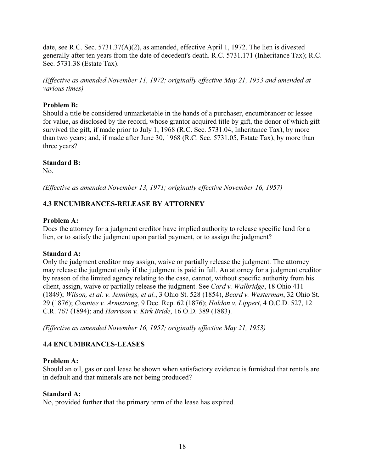date, see R.C. Sec. 5731.37(A)(2), as amended, effective April 1, 1972. The lien is divested generally after ten years from the date of decedent's death. R.C. 5731.171 (Inheritance Tax); R.C. Sec. 5731.38 (Estate Tax).

*(Effective as amended November 11, 1972; originally effective May 21, 1953 and amended at various times)*

# **Problem B:**

Should a title be considered unmarketable in the hands of a purchaser, encumbrancer or lessee for value, as disclosed by the record, whose grantor acquired title by gift, the donor of which gift survived the gift, if made prior to July 1, 1968 (R.C. Sec. 5731.04, Inheritance Tax), by more than two years; and, if made after June 30, 1968 (R.C. Sec. 5731.05, Estate Tax), by more than three years?

## **Standard B:**

No.

*(Effective as amended November 13, 1971; originally effective November 16, 1957)*

# **4.3 ENCUMBRANCES-RELEASE BY ATTORNEY**

## **Problem A:**

Does the attorney for a judgment creditor have implied authority to release specific land for a lien, or to satisfy the judgment upon partial payment, or to assign the judgment?

## **Standard A:**

Only the judgment creditor may assign, waive or partially release the judgment. The attorney may release the judgment only if the judgment is paid in full. An attorney for a judgment creditor by reason of the limited agency relating to the case, cannot, without specific authority from his client, assign, waive or partially release the judgment. See *Card v. Walbridge*, 18 Ohio 411 (1849); *Wilson, et al. v. Jennings, et al.*, 3 Ohio St. 528 (1854), *Beard v. Westerman*, 32 Ohio St. 29 (1876); *Countee v. Armstrong*, 9 Dec. Rep. 62 (1876); *Holdon v. Lippert*, 4 O.C.D. 527, 12 C.R. 767 (1894); and *Harrison v. Kirk Bride*, 16 O.D. 389 (1883).

*(Effective as amended November 16, 1957; originally effective May 21, 1953)*

# **4.4 ENCUMBRANCES-LEASES**

## **Problem A:**

Should an oil, gas or coal lease be shown when satisfactory evidence is furnished that rentals are in default and that minerals are not being produced?

## **Standard A:**

No, provided further that the primary term of the lease has expired.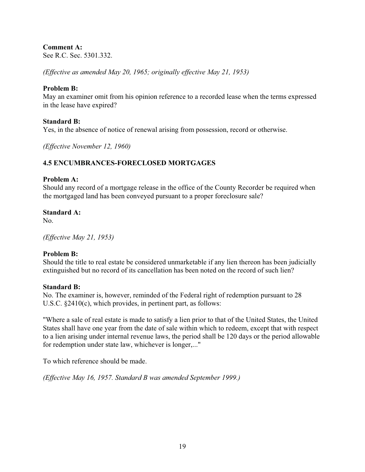# **Comment A:**

See R.C. Sec. 5301.332.

*(Effective as amended May 20, 1965; originally effective May 21, 1953)*

## **Problem B:**

May an examiner omit from his opinion reference to a recorded lease when the terms expressed in the lease have expired?

## **Standard B:**

Yes, in the absence of notice of renewal arising from possession, record or otherwise.

*(Effective November 12, 1960)*

# **4.5 ENCUMBRANCES-FORECLOSED MORTGAGES**

#### **Problem A:**

Should any record of a mortgage release in the office of the County Recorder be required when the mortgaged land has been conveyed pursuant to a proper foreclosure sale?

## **Standard A:**

No.

*(Effective May 21, 1953)*

## **Problem B:**

Should the title to real estate be considered unmarketable if any lien thereon has been judicially extinguished but no record of its cancellation has been noted on the record of such lien?

#### **Standard B:**

No. The examiner is, however, reminded of the Federal right of redemption pursuant to 28 U.S.C. §2410(c), which provides, in pertinent part, as follows:

"Where a sale of real estate is made to satisfy a lien prior to that of the United States, the United States shall have one year from the date of sale within which to redeem, except that with respect to a lien arising under internal revenue laws, the period shall be 120 days or the period allowable for redemption under state law, whichever is longer,..."

To which reference should be made.

*(Effective May 16, 1957. Standard B was amended September 1999.)*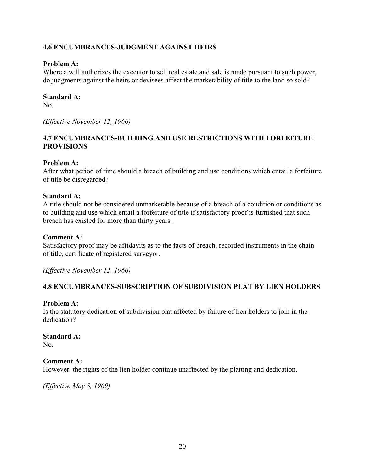## **4.6 ENCUMBRANCES-JUDGMENT AGAINST HEIRS**

#### **Problem A:**

Where a will authorizes the executor to sell real estate and sale is made pursuant to such power, do judgments against the heirs or devisees affect the marketability of title to the land so sold?

#### **Standard A:**

No.

*(Effective November 12, 1960)*

## **4.7 ENCUMBRANCES-BUILDING AND USE RESTRICTIONS WITH FORFEITURE PROVISIONS**

#### **Problem A:**

After what period of time should a breach of building and use conditions which entail a forfeiture of title be disregarded?

#### **Standard A:**

A title should not be considered unmarketable because of a breach of a condition or conditions as to building and use which entail a forfeiture of title if satisfactory proof is furnished that such breach has existed for more than thirty years.

#### **Comment A:**

Satisfactory proof may be affidavits as to the facts of breach, recorded instruments in the chain of title, certificate of registered surveyor.

*(Effective November 12, 1960)*

## **4.8 ENCUMBRANCES-SUBSCRIPTION OF SUBDIVISION PLAT BY LIEN HOLDERS**

#### **Problem A:**

Is the statutory dedication of subdivision plat affected by failure of lien holders to join in the dedication?

#### **Standard A:**

No.

#### **Comment A:**

However, the rights of the lien holder continue unaffected by the platting and dedication.

*(Effective May 8, 1969)*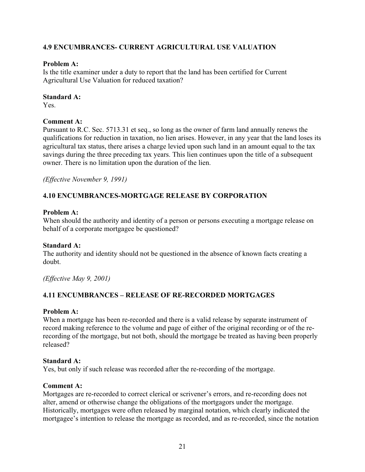# **4.9 ENCUMBRANCES- CURRENT AGRICULTURAL USE VALUATION**

## **Problem A:**

Is the title examiner under a duty to report that the land has been certified for Current Agricultural Use Valuation for reduced taxation?

#### **Standard A:**

Yes.

## **Comment A:**

Pursuant to R.C. Sec. 5713.31 et seq., so long as the owner of farm land annually renews the qualifications for reduction in taxation, no lien arises. However, in any year that the land loses its agricultural tax status, there arises a charge levied upon such land in an amount equal to the tax savings during the three preceding tax years. This lien continues upon the title of a subsequent owner. There is no limitation upon the duration of the lien.

*(Effective November 9, 1991)*

# **4.10 ENCUMBRANCES-MORTGAGE RELEASE BY CORPORATION**

## **Problem A:**

When should the authority and identity of a person or persons executing a mortgage release on behalf of a corporate mortgagee be questioned?

## **Standard A:**

The authority and identity should not be questioned in the absence of known facts creating a doubt.

*(Effective May 9, 2001)*

## **4.11 ENCUMBRANCES – RELEASE OF RE-RECORDED MORTGAGES**

## **Problem A:**

When a mortgage has been re-recorded and there is a valid release by separate instrument of record making reference to the volume and page of either of the original recording or of the rerecording of the mortgage, but not both, should the mortgage be treated as having been properly released?

#### **Standard A:**

Yes, but only if such release was recorded after the re-recording of the mortgage.

#### **Comment A:**

Mortgages are re-recorded to correct clerical or scrivener's errors, and re-recording does not alter, amend or otherwise change the obligations of the mortgagors under the mortgage. Historically, mortgages were often released by marginal notation, which clearly indicated the mortgagee's intention to release the mortgage as recorded, and as re-recorded, since the notation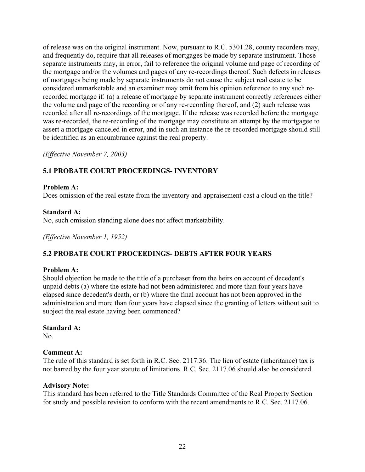of release was on the original instrument. Now, pursuant to R.C. 5301.28, county recorders may, and frequently do, require that all releases of mortgages be made by separate instrument. Those separate instruments may, in error, fail to reference the original volume and page of recording of the mortgage and/or the volumes and pages of any re-recordings thereof. Such defects in releases of mortgages being made by separate instruments do not cause the subject real estate to be considered unmarketable and an examiner may omit from his opinion reference to any such rerecorded mortgage if: (a) a release of mortgage by separate instrument correctly references either the volume and page of the recording or of any re-recording thereof, and (2) such release was recorded after all re-recordings of the mortgage. If the release was recorded before the mortgage was re-recorded, the re-recording of the mortgage may constitute an attempt by the mortgagee to assert a mortgage canceled in error, and in such an instance the re-recorded mortgage should still be identified as an encumbrance against the real property.

*(Effective November 7, 2003)*

# **5.1 PROBATE COURT PROCEEDINGS- INVENTORY**

#### **Problem A:**

Does omission of the real estate from the inventory and appraisement cast a cloud on the title?

## **Standard A:**

No, such omission standing alone does not affect marketability.

*(Effective November 1, 1952)*

## **5.2 PROBATE COURT PROCEEDINGS- DEBTS AFTER FOUR YEARS**

#### **Problem A:**

Should objection be made to the title of a purchaser from the heirs on account of decedent's unpaid debts (a) where the estate had not been administered and more than four years have elapsed since decedent's death, or (b) where the final account has not been approved in the administration and more than four years have elapsed since the granting of letters without suit to subject the real estate having been commenced?

# **Standard A:**

No.

## **Comment A:**

The rule of this standard is set forth in R.C. Sec. 2117.36. The lien of estate (inheritance) tax is not barred by the four year statute of limitations. R.C. Sec. 2117.06 should also be considered.

#### **Advisory Note:**

This standard has been referred to the Title Standards Committee of the Real Property Section for study and possible revision to conform with the recent amendments to R.C. Sec. 2117.06.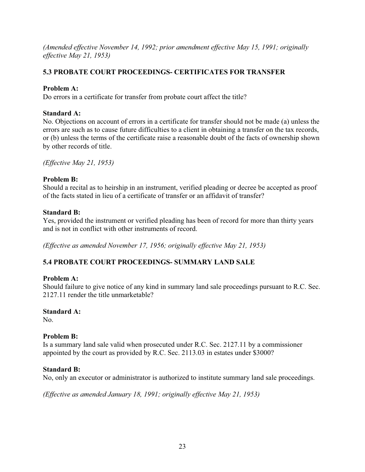*(Amended effective November 14, 1992; prior amendment effective May 15, 1991; originally effective May 21, 1953)*

# **5.3 PROBATE COURT PROCEEDINGS- CERTIFICATES FOR TRANSFER**

# **Problem A:**

Do errors in a certificate for transfer from probate court affect the title?

# **Standard A:**

No. Objections on account of errors in a certificate for transfer should not be made (a) unless the errors are such as to cause future difficulties to a client in obtaining a transfer on the tax records, or (b) unless the terms of the certificate raise a reasonable doubt of the facts of ownership shown by other records of title.

*(Effective May 21, 1953)*

# **Problem B:**

Should a recital as to heirship in an instrument, verified pleading or decree be accepted as proof of the facts stated in lieu of a certificate of transfer or an affidavit of transfer?

# **Standard B:**

Yes, provided the instrument or verified pleading has been of record for more than thirty years and is not in conflict with other instruments of record.

*(Effective as amended November 17, 1956; originally effective May 21, 1953)*

# **5.4 PROBATE COURT PROCEEDINGS- SUMMARY LAND SALE**

# **Problem A:**

Should failure to give notice of any kind in summary land sale proceedings pursuant to R.C. Sec. 2127.11 render the title unmarketable?

# **Standard A:**

No.

# **Problem B:**

Is a summary land sale valid when prosecuted under R.C. Sec. 2127.11 by a commissioner appointed by the court as provided by R.C. Sec. 2113.03 in estates under \$3000?

## **Standard B:**

No, only an executor or administrator is authorized to institute summary land sale proceedings.

*(Effective as amended January 18, 1991; originally effective May 21, 1953)*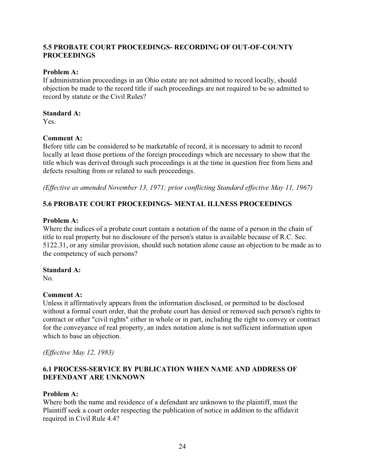## **5.5 PROBATE COURT PROCEEDINGS- RECORDING OF OUT-OF-COUNTY PROCEEDINGS**

## **Problem A:**

If administration proceedings in an Ohio estate are not admitted to record locally, should objection be made to the record title if such proceedings are not required to be so admitted to record by statute or the Civil Rules?

#### **Standard A:**

Yes.

## **Comment A:**

Before title can be considered to be marketable of record, it is necessary to admit to record locally at least those portions of the foreign proceedings which are necessary to show that the title which was derived through such proceedings is at the time in question free from liens and defects resulting from or related to such proceedings.

*(Effective as amended November 13, 1971; prior conflicting Standard effective May 11, 1967)*

# **5.6 PROBATE COURT PROCEEDINGS- MENTAL ILLNESS PROCEEDINGS**

## **Problem A:**

Where the indices of a probate court contain a notation of the name of a person in the chain of title to real property but no disclosure of the person's status is available because of R.C. Sec. 5122.31, or any similar provision, should such notation alone cause an objection to be made as to the competency of such persons?

#### **Standard A:**

No.

## **Comment A:**

Unless it affirmatively appears from the information disclosed, or permitted to be disclosed without a formal court order, that the probate court has denied or removed such person's rights to contract or other "civil rights" either in whole or in part, including the right to convey or contract for the conveyance of real property, an index notation alone is not sufficient information upon which to base an objection.

*(Effective May 12, 1983)* 

# **6.1 PROCESS-SERVICE BY PUBLICATION WHEN NAME AND ADDRESS OF DEFENDANT ARE UNKNOWN**

#### **Problem A:**

Where both the name and residence of a defendant are unknown to the plaintiff, must the Plaintiff seek a court order respecting the publication of notice in addition to the affidavit required in Civil Rule 4.4?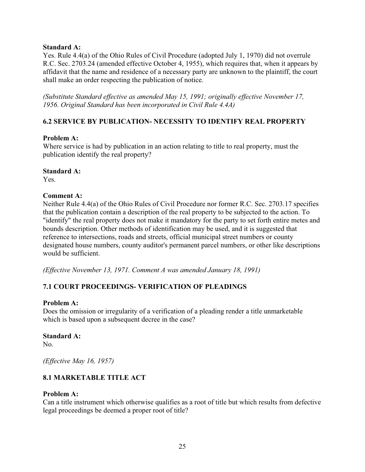#### **Standard A:**

Yes. Rule 4.4(a) of the Ohio Rules of Civil Procedure (adopted July 1, 1970) did not overrule R.C. Sec. 2703.24 (amended effective October 4, 1955), which requires that, when it appears by affidavit that the name and residence of a necessary party are unknown to the plaintiff, the court shall make an order respecting the publication of notice.

*(Substitute Standard effective as amended May 15, 1991; originally effective November 17, 1956. Original Standard has been incorporated in Civil Rule 4.4A)*

## **6.2 SERVICE BY PUBLICATION- NECESSITY TO IDENTIFY REAL PROPERTY**

## **Problem A:**

Where service is had by publication in an action relating to title to real property, must the publication identify the real property?

#### **Standard A:**

Yes.

## **Comment A:**

Neither Rule 4.4(a) of the Ohio Rules of Civil Procedure nor former R.C. Sec. 2703.17 specifies that the publication contain a description of the real property to be subjected to the action. To "identify" the real property does not make it mandatory for the party to set forth entire metes and bounds description. Other methods of identification may be used, and it is suggested that reference to intersections, roads and streets, official municipal street numbers or county designated house numbers, county auditor's permanent parcel numbers, or other like descriptions would be sufficient.

*(Effective November 13, 1971. Comment A was amended January 18, 1991)*

# **7.1 COURT PROCEEDINGS- VERIFICATION OF PLEADINGS**

#### **Problem A:**

Does the omission or irregularity of a verification of a pleading render a title unmarketable which is based upon a subsequent decree in the case?

#### **Standard A:**

No.

*(Effective May 16, 1957)* 

# **8.1 MARKETABLE TITLE ACT**

## **Problem A:**

Can a title instrument which otherwise qualifies as a root of title but which results from defective legal proceedings be deemed a proper root of title?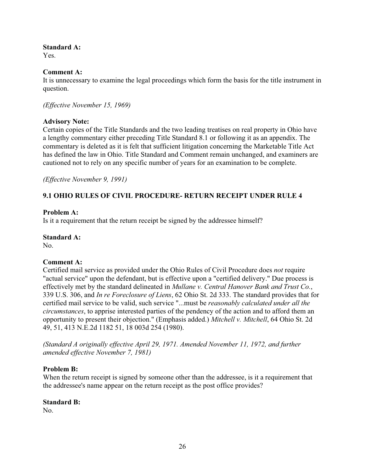## **Standard A:**

Yes.

## **Comment A:**

It is unnecessary to examine the legal proceedings which form the basis for the title instrument in question.

*(Effective November 15, 1969)*

## **Advisory Note:**

Certain copies of the Title Standards and the two leading treatises on real property in Ohio have a lengthy commentary either preceding Title Standard 8.1 or following it as an appendix. The commentary is deleted as it is felt that sufficient litigation concerning the Marketable Title Act has defined the law in Ohio. Title Standard and Comment remain unchanged, and examiners are cautioned not to rely on any specific number of years for an examination to be complete.

*(Effective November 9, 1991)*

# **9.1 OHIO RULES OF CIVIL PROCEDURE- RETURN RECEIPT UNDER RULE 4**

## **Problem A:**

Is it a requirement that the return receipt be signed by the addressee himself?

#### **Standard A:**

No.

#### **Comment A:**

Certified mail service as provided under the Ohio Rules of Civil Procedure does *not* require "actual service" upon the defendant, but is effective upon a "certified delivery." Due process is effectively met by the standard delineated in *Mullane v. Central Hanover Bank and Trust Co.*, 339 U.S. 306, and *In re Foreclosure of Liens*, 62 Ohio St. 2d 333. The standard provides that for certified mail service to be valid, such service "...must be *reasonably calculated under all the circumstances*, to apprise interested parties of the pendency of the action and to afford them an opportunity to present their objection." (Emphasis added.) *Mitchell v. Mitchell*, 64 Ohio St. 2d 49, 51, 413 N.E.2d 1182 51, 18 003d 254 (1980).

*(Standard A originally effective April 29, 1971. Amended November 11, 1972, and further amended effective November 7, 1981)*

## **Problem B:**

When the return receipt is signed by someone other than the addressee, is it a requirement that the addressee's name appear on the return receipt as the post office provides?

#### **Standard B:**

No.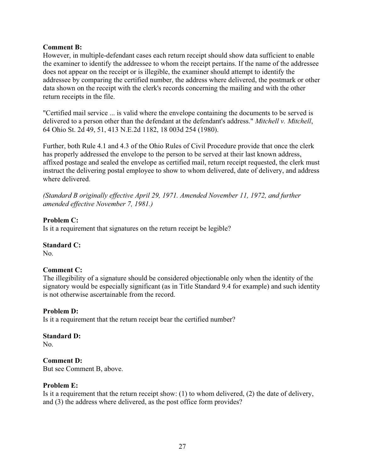## **Comment B:**

However, in multiple-defendant cases each return receipt should show data sufficient to enable the examiner to identify the addressee to whom the receipt pertains. If the name of the addressee does not appear on the receipt or is illegible, the examiner should attempt to identify the addressee by comparing the certified number, the address where delivered, the postmark or other data shown on the receipt with the clerk's records concerning the mailing and with the other return receipts in the file.

"Certified mail service ... is valid where the envelope containing the documents to be served is delivered to a person other than the defendant at the defendant's address." *Mitchell v. Mitchell*, 64 Ohio St. 2d 49, 51, 413 N.E.2d 1182, 18 003d 254 (1980).

Further, both Rule 4.1 and 4.3 of the Ohio Rules of Civil Procedure provide that once the clerk has properly addressed the envelope to the person to be served at their last known address, affixed postage and sealed the envelope as certified mail, return receipt requested, the clerk must instruct the delivering postal employee to show to whom delivered, date of delivery, and address where delivered.

*(Standard B originally effective April 29, 1971. Amended November 11, 1972, and further amended effective November 7, 1981.)*

## **Problem C:**

Is it a requirement that signatures on the return receipt be legible?

## **Standard C:**

No.

## **Comment C:**

The illegibility of a signature should be considered objectionable only when the identity of the signatory would be especially significant (as in Title Standard 9.4 for example) and such identity is not otherwise ascertainable from the record.

#### **Problem D:**

Is it a requirement that the return receipt bear the certified number?

## **Standard D:**

No.

## **Comment D:**

But see Comment B, above.

#### **Problem E:**

Is it a requirement that the return receipt show: (1) to whom delivered, (2) the date of delivery, and (3) the address where delivered, as the post office form provides?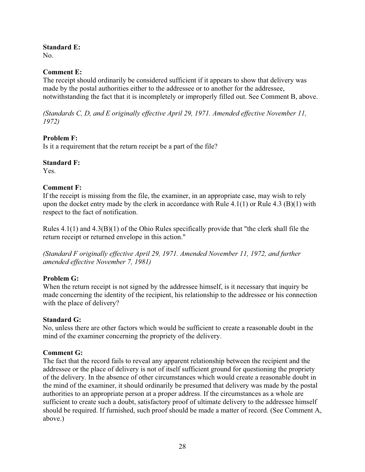## **Standard E:**

No.

## **Comment E:**

The receipt should ordinarily be considered sufficient if it appears to show that delivery was made by the postal authorities either to the addressee or to another for the addressee, notwithstanding the fact that it is incompletely or improperly filled out. See Comment B, above.

*(Standards C, D, and E originally effective April 29, 1971. Amended effective November 11, 1972)*

# **Problem F:**

Is it a requirement that the return receipt be a part of the file?

## **Standard F:**

Yes.

# **Comment F:**

If the receipt is missing from the file, the examiner, in an appropriate case, may wish to rely upon the docket entry made by the clerk in accordance with Rule 4.1(1) or Rule 4.3 (B)(1) with respect to the fact of notification.

Rules 4.1(1) and 4.3(B)(1) of the Ohio Rules specifically provide that "the clerk shall file the return receipt or returned envelope in this action."

*(Standard F originally effective April 29, 1971. Amended November 11, 1972, and further amended effective November 7, 1981)*

## **Problem G:**

When the return receipt is not signed by the addressee himself, is it necessary that inquiry be made concerning the identity of the recipient, his relationship to the addressee or his connection with the place of delivery?

## **Standard G:**

No, unless there are other factors which would be sufficient to create a reasonable doubt in the mind of the examiner concerning the propriety of the delivery.

# **Comment G:**

The fact that the record fails to reveal any apparent relationship between the recipient and the addressee or the place of delivery is not of itself sufficient ground for questioning the propriety of the delivery. In the absence of other circumstances which would create a reasonable doubt in the mind of the examiner, it should ordinarily be presumed that delivery was made by the postal authorities to an appropriate person at a proper address. If the circumstances as a whole are sufficient to create such a doubt, satisfactory proof of ultimate delivery to the addressee himself should be required. If furnished, such proof should be made a matter of record. (See Comment A, above.)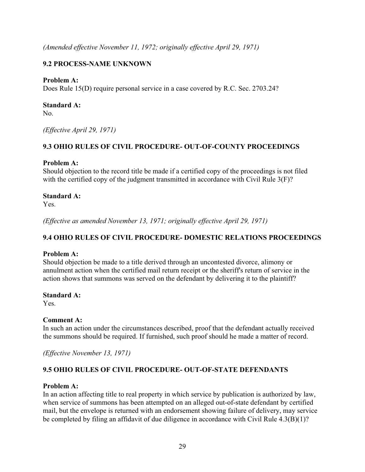*(Amended effective November 11, 1972; originally effective April 29, 1971)*

# **9.2 PROCESS-NAME UNKNOWN**

## **Problem A:**

Does Rule 15(D) require personal service in a case covered by R.C. Sec. 2703.24?

#### **Standard A:**

No.

*(Effective April 29, 1971)*

## **9.3 OHIO RULES OF CIVIL PROCEDURE- OUT-OF-COUNTY PROCEEDINGS**

#### **Problem A:**

Should objection to the record title be made if a certified copy of the proceedings is not filed with the certified copy of the judgment transmitted in accordance with Civil Rule 3(F)?

## **Standard A:**

Yes.

*(Effective as amended November 13, 1971; originally effective April 29, 1971)*

## **9.4 OHIO RULES OF CIVIL PROCEDURE- DOMESTIC RELATIONS PROCEEDINGS**

#### **Problem A:**

Should objection be made to a title derived through an uncontested divorce, alimony or annulment action when the certified mail return receipt or the sheriff's return of service in the action shows that summons was served on the defendant by delivering it to the plaintiff?

#### **Standard A:**

Yes.

#### **Comment A:**

In such an action under the circumstances described, proof that the defendant actually received the summons should be required. If furnished, such proof should he made a matter of record.

*(Effective November 13, 1971)*

## **9.5 OHIO RULES OF CIVIL PROCEDURE- OUT-OF-STATE DEFENDANTS**

#### **Problem A:**

In an action affecting title to real property in which service by publication is authorized by law, when service of summons has been attempted on an alleged out-of-state defendant by certified mail, but the envelope is returned with an endorsement showing failure of delivery, may service be completed by filing an affidavit of due diligence in accordance with Civil Rule 4.3(B)(1)?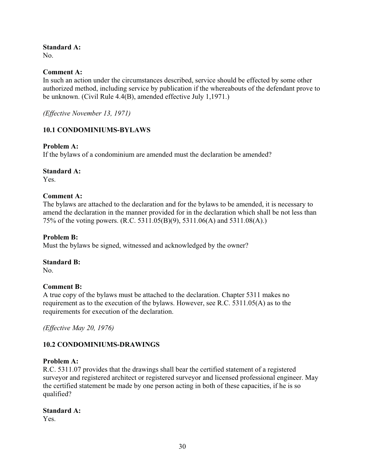# **Standard A:**

No.

## **Comment A:**

In such an action under the circumstances described, service should be effected by some other authorized method, including service by publication if the whereabouts of the defendant prove to be unknown. (Civil Rule 4.4(B), amended effective July 1,1971.)

*(Effective November 13, 1971)*

## **10.1 CONDOMINIUMS-BYLAWS**

## **Problem A:**

If the bylaws of a condominium are amended must the declaration be amended?

#### **Standard A:**

Yes.

#### **Comment A:**

The bylaws are attached to the declaration and for the bylaws to be amended, it is necessary to amend the declaration in the manner provided for in the declaration which shall be not less than 75% of the voting powers. (R.C. 5311.05(B)(9), 5311.06(A) and 5311.08(A).)

#### **Problem B:**

Must the bylaws be signed, witnessed and acknowledged by the owner?

#### **Standard B:**

No.

#### **Comment B:**

A true copy of the bylaws must be attached to the declaration. Chapter 5311 makes no requirement as to the execution of the bylaws. However, see R.C. 5311.05(A) as to the requirements for execution of the declaration.

*(Effective May 20, 1976)*

## **10.2 CONDOMINIUMS-DRAWINGS**

#### **Problem A:**

R.C. 5311.07 provides that the drawings shall bear the certified statement of a registered surveyor and registered architect or registered surveyor and licensed professional engineer. May the certified statement be made by one person acting in both of these capacities, if he is so qualified?

#### **Standard A:**

Yes.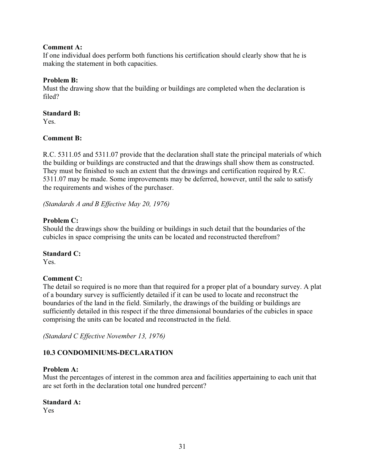## **Comment A:**

If one individual does perform both functions his certification should clearly show that he is making the statement in both capacities.

## **Problem B:**

Must the drawing show that the building or buildings are completed when the declaration is filed?

#### **Standard B:**

Yes.

## **Comment B:**

R.C. 5311.05 and 5311.07 provide that the declaration shall state the principal materials of which the building or buildings are constructed and that the drawings shall show them as constructed. They must be finished to such an extent that the drawings and certification required by R.C. 5311.07 may be made. Some improvements may be deferred, however, until the sale to satisfy the requirements and wishes of the purchaser.

*(Standards A and B Effective May 20, 1976)*

## **Problem C:**

Should the drawings show the building or buildings in such detail that the boundaries of the cubicles in space comprising the units can be located and reconstructed therefrom?

#### **Standard C:**

Yes.

## **Comment C:**

The detail so required is no more than that required for a proper plat of a boundary survey. A plat of a boundary survey is sufficiently detailed if it can be used to locate and reconstruct the boundaries of the land in the field. Similarly, the drawings of the building or buildings are sufficiently detailed in this respect if the three dimensional boundaries of the cubicles in space comprising the units can be located and reconstructed in the field.

*(Standard C Effective November 13, 1976)*

## **10.3 CONDOMINIUMS-DECLARATION**

#### **Problem A:**

Must the percentages of interest in the common area and facilities appertaining to each unit that are set forth in the declaration total one hundred percent?

#### **Standard A:**

Yes